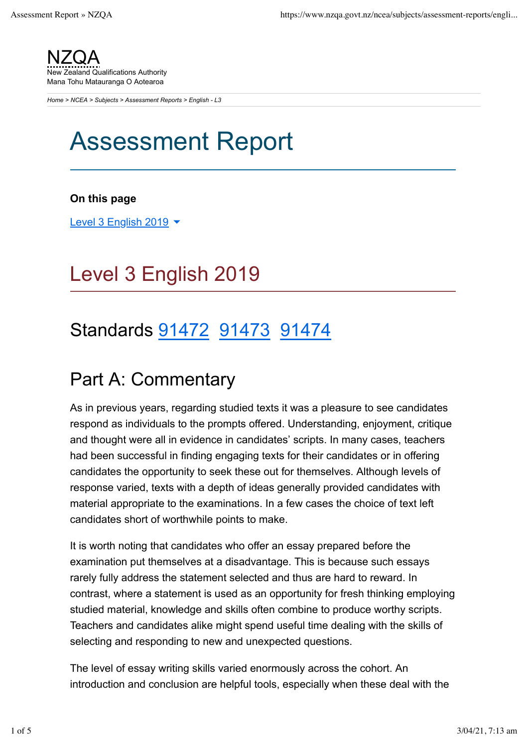NZQA **Example 2** Qualifications Authority Mana Tohu Matauranga O Aotearoa

*Home > NCEA > Subjects > Assessment Reports > English - L3*

# Assessment Report

#### **On this page**

Level 3 English 2019  $\blacktriangleright$ 

## Level 3 English 2019

### Standards 91472 91473 91474

### Part A: Commentary

As in previous years, regarding studied texts it was a pleasure to see candidates respond as individuals to the prompts offered. Understanding, enjoyment, critique and thought were all in evidence in candidates' scripts. In many cases, teachers had been successful in finding engaging texts for their candidates or in offering candidates the opportunity to seek these out for themselves. Although levels of response varied, texts with a depth of ideas generally provided candidates with material appropriate to the examinations. In a few cases the choice of text left candidates short of worthwhile points to make.

It is worth noting that candidates who offer an essay prepared before the examination put themselves at a disadvantage. This is because such essays rarely fully address the statement selected and thus are hard to reward. In contrast, where a statement is used as an opportunity for fresh thinking employing studied material, knowledge and skills often combine to produce worthy scripts. Teachers and candidates alike might spend useful time dealing with the skills of selecting and responding to new and unexpected questions.

The level of essay writing skills varied enormously across the cohort. An introduction and conclusion are helpful tools, especially when these deal with the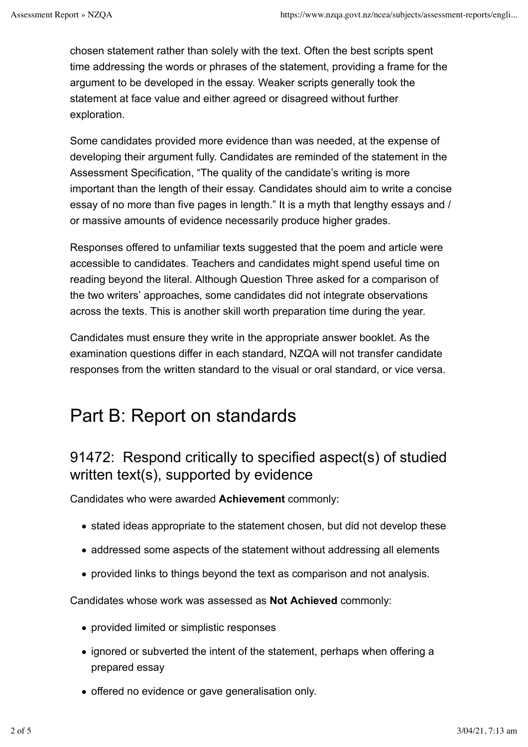chosen statement rather than solely with the text. Often the best scripts spent time addressing the words or phrases of the statement, providing a frame for the argument to be developed in the essay. Weaker scripts generally took the statement at face value and either agreed or disagreed without further exploration.

Some candidates provided more evidence than was needed, at the expense of developing their argument fully. Candidates are reminded of the statement in the Assessment Specification, "The quality of the candidate's writing is more important than the length of their essay. Candidates should aim to write a concise essay of no more than five pages in length." It is a myth that lengthy essays and / or massive amounts of evidence necessarily produce higher grades.

Responses offered to unfamiliar texts suggested that the poem and article were accessible to candidates. Teachers and candidates might spend useful time on reading beyond the literal. Although Question Three asked for a comparison of the two writers' approaches, some candidates did not integrate observations across the texts. This is another skill worth preparation time during the year.

Candidates must ensure they write in the appropriate answer booklet. As the examination questions differ in each standard, NZQA will not transfer candidate responses from the written standard to the visual or oral standard, or vice versa.

## Part B: Report on standards

### 91472: Respond critically to specified aspect(s) of studied written text(s), supported by evidence

Candidates who were awarded **Achievement** commonly:

- stated ideas appropriate to the statement chosen, but did not develop these
- addressed some aspects of the statement without addressing all elements
- provided links to things beyond the text as comparison and not analysis.

Candidates whose work was assessed as **Not Achieved** commonly:

- provided limited or simplistic responses
- ignored or subverted the intent of the statement, perhaps when offering a prepared essay
- offered no evidence or gave generalisation only.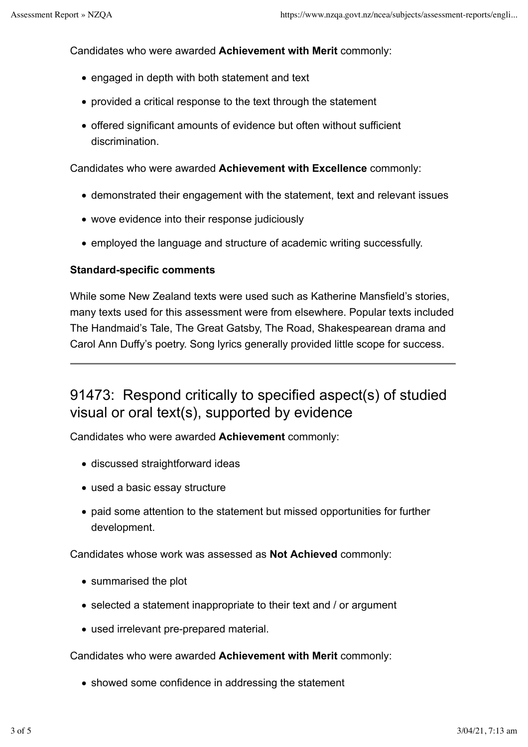Candidates who were awarded **Achievement with Merit** commonly:

- engaged in depth with both statement and text
- provided a critical response to the text through the statement
- offered significant amounts of evidence but often without sufficient discrimination.

Candidates who were awarded **Achievement with Excellence** commonly:

- demonstrated their engagement with the statement, text and relevant issues
- wove evidence into their response judiciously
- employed the language and structure of academic writing successfully.

#### **Standard-specific comments**

While some New Zealand texts were used such as Katherine Mansfield's stories, many texts used for this assessment were from elsewhere. Popular texts included The Handmaid's Tale, The Great Gatsby, The Road, Shakespearean drama and Carol Ann Duffy's poetry. Song lyrics generally provided little scope for success.

### 91473: Respond critically to specified aspect(s) of studied visual or oral text(s), supported by evidence

Candidates who were awarded **Achievement** commonly:

- discussed straightforward ideas
- used a basic essay structure
- paid some attention to the statement but missed opportunities for further development.

Candidates whose work was assessed as **Not Achieved** commonly:

- summarised the plot
- selected a statement inappropriate to their text and / or argument
- used irrelevant pre-prepared material.

Candidates who were awarded **Achievement with Merit** commonly:

• showed some confidence in addressing the statement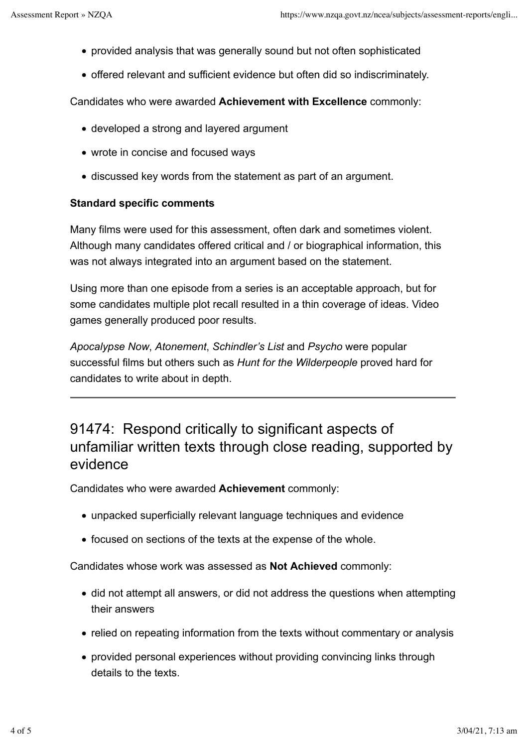- provided analysis that was generally sound but not often sophisticated
- offered relevant and sufficient evidence but often did so indiscriminately.

Candidates who were awarded **Achievement with Excellence** commonly:

- developed a strong and layered argument
- wrote in concise and focused ways
- discussed key words from the statement as part of an argument.

#### **Standard specific comments**

Many films were used for this assessment, often dark and sometimes violent. Although many candidates offered critical and / or biographical information, this was not always integrated into an argument based on the statement.

Using more than one episode from a series is an acceptable approach, but for some candidates multiple plot recall resulted in a thin coverage of ideas. Video games generally produced poor results.

*Apocalypse Now*, *Atonement*, *Schindler's List* and *Psycho* were popular successful films but others such as *Hunt for the Wilderpeople* proved hard for candidates to write about in depth.

### 91474: Respond critically to significant aspects of unfamiliar written texts through close reading, supported by evidence

Candidates who were awarded **Achievement** commonly:

- unpacked superficially relevant language techniques and evidence
- focused on sections of the texts at the expense of the whole.

Candidates whose work was assessed as **Not Achieved** commonly:

- did not attempt all answers, or did not address the questions when attempting their answers
- relied on repeating information from the texts without commentary or analysis
- provided personal experiences without providing convincing links through details to the texts.